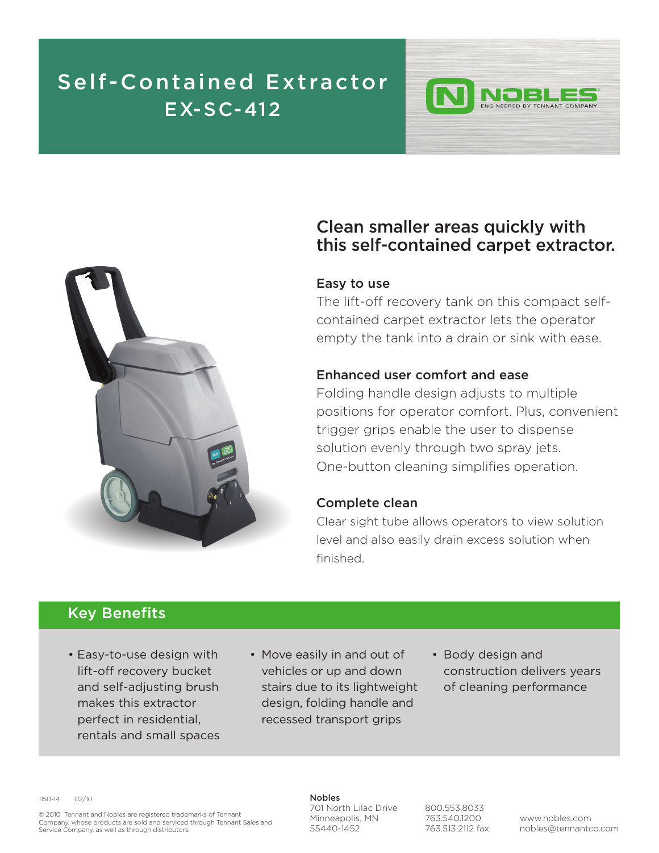## Self-Contained Extractor EX-SC-412



## Clean smaller areas quickly with this self-contained carpet extractor.

NG NEERED BY TENNANT COMPANY

#### Easy to use

The lift-off recovery tank on this compact selfcontained carpet extractor lets the operator empty the tank into a drain or sink with ease.

### Enhanced user comfort and ease

Folding handle design adjusts to multiple positions for operator comfort. Plus, convenient trigger grips enable the user to dispense solution evenly through two spray jets. One-button cleaning simplifies operation.

#### Complete clean

Clear sight tube allows operators to view solution level and also easily drain excess solution when finished.

### Key Benefits

- Easy-to-use design with lift-off recovery bucket and self-adjusting brush makes this extractor perfect in residential, rentals and small spaces
- Move easily in and out of vehicles or up and down stairs due to its lightweight design, folding handle and recessed transport grips
- Body design and construction delivers years of cleaning performance

1150-14 02/10

© 2010 Tennant and Nobles are registered trademarks of Tennant Company, whose products are sold and serviced through Tennant Sales and Service Company, as well as through distributors.

#### Nobles

701 North Lilac Drive Minneapolis, MN 55440-1452

800.553.8033 763.540.1200 763.513.2112 fax

www.nobles.com nobles@tennantco.com